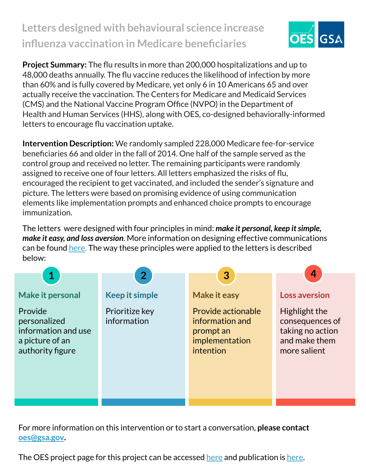## **Letters designed with behavioural science increase influenza vaccination in Medicare beneficiaries**



**Project Summary:** The flu results in more than 200,000 hospitalizations and up to 48,000 deaths annually. The flu vaccine reduces the likelihood of infection by more than 60% and is fully covered by Medicare, yet only 6 in 10 Americans 65 and over actually receive the vaccination. The Centers for Medicare and Medicaid Services (CMS) and the National Vaccine Program Office (NVPO) in the Department of Health and Human Services (HHS), along with OES, co-designed behaviorally-informed letters to encourage flu vaccination uptake.

**Intervention Description:** We randomly sampled 228,000 Medicare fee-for-service beneficiaries 66 and older in the fall of 2014. One half of the sample served as the control group and received no letter. The remaining participants were randomly assigned to receive one of four letters. All letters emphasized the risks of flu, encouraged the recipient to get vaccinated, and included the sender's signature and picture. The letters were based on promising evidence of using communication elements like implementation prompts and enhanced choice prompts to encourage immunization.

The letters were designed with four principles in mind: *make it personal, keep it simple, make it easy, and loss aversion*. More information on designing effective communications can be found [here](https://oes.gsa.gov/assets/abstracts/OES%20Learnings%20on%20Writing%20Better%20Communications%202018.pdf). The way these principles were applied to the letters is described below:



For more information on this intervention or to start a conversation, **please contact [oes@gsa.gov](mailto:oes@gsa.gov).**

The OES project page for this project can be accessed [here](https://oes.gsa.gov/projects/medicare-flu-vaccine-uptake/) and publication is [here](https://www.nature.com/articles/s41562-018-0432-2).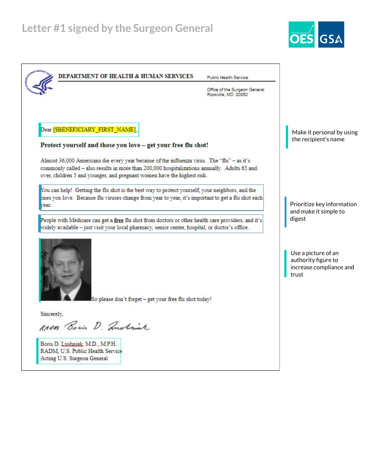

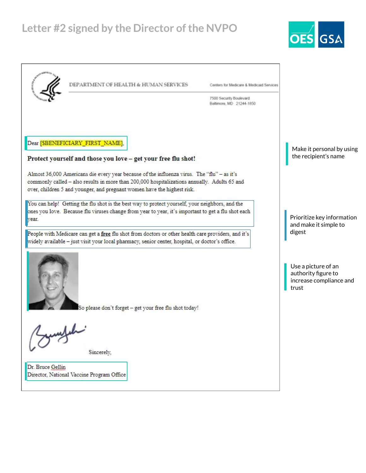## **Letter #2 signed by the Director of the NVPO**



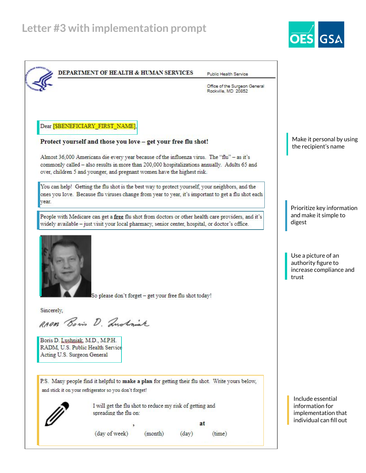